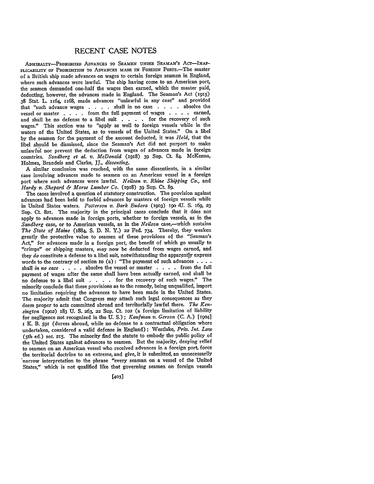## **RECENT CASE NOTES**

ADMmALTY-PRoHIBITED ADVANCES TO SEAMEN **UNDER** SEAMAN'S Acr-INAP-PLICABILITY OF PROHIBITION TO ADVANCES MADE IN FOREIGN PORTS.-The master of a British ship made advances on wages to certain foreign seamen in England, where such advances were lawful. The ship having come to an American port, the seamen demanded one-half the wages then earned, which the master paid, deducting, however, the advances made in England. The Seaman's Act (1915) **38** Stat L. 1164, 1168, made advances "unlawful in any case" and provided that "such advance wages . **. .** . shall in no case . **. .** . absolve the vessel or master . **. .** . from the full payment of wages . **. .** . earned, and shall be no defense to a libel suit . **. .** . for the recovery of such wages." This section was to "apply as well to foreign vessels while in the waters of the United States, as to vessels of the United States." On a libel **by** the seamen for the payment of the amount deducted, it was *Held,* that the libel should be dismissed, since the Seaman's Act did not purport to make **unlawful** nor prevent the deduction from wages of advances made in foreign countries. *Sandberg et al. v. McDonald* (1918) **39** Sup. Ct 84. McKenna, Holmes, Brandeis and Clarke, **JJ.,** *dissenting.*

A similar conclusion was reached, with the same dissentients, in a similar case involving advances made to seamen on an American vessel in a foreign port where such advances were lawful. *Neilson v. Rhine Shipping Co.,* and *Hardy v. Shepard & Morse Lumber Co.* (1918) 39 Sup. Ct **89.**

The cases involved a question of statutory construction. The provision against advances had been held to forbid advances **by** masters of foreign vessels while in United States waters. *Patterson v. Bark Eudora* **(19o3)** igo 'U. **S.** 169, **23** Sup. Ct. 821. The majority in the principal cases conclude that it does not apply to advances made in foreign ports, whether to foreign vessels, as in the *Sandberg* case, or to American vessels, as in the *Neilson* case,-which sustains *The State of Maine* (1884, **S. D. N.** Y.) 22 Fed. 734. Thereby, they weaken greatly the protective value to seamen of these provisions of the "Seaman's Act," for advances made in a foreign port, the benefit of which go usually to "crimps" or shipping masters, *may* now be deducted from wages earned, and they *do* constitute a defense to a libel suit, notwithstanding the apparently express words to the contrary of section io (a) : "The payment of such advances **....** shall *in no case* . **. .** . absolve the vessel or master . **. .** . from the full payment of wages after the same shall have been actually earned, and shall be no defense to a libel suit . **. .** . for the recovery of such wages." The minority conclude that these provisions as to the remedy, being unqualified, import no limitation requiring the advances to have been made in the United States. The majority admit that Congress may attach such legal consequences as they deem proper to acts committed abroad and territorially lawful there. *The Ken-. sington* **(1902)** 183 **U. S. 263,** 22 Sup. Ct *io2* (a foreign limitation of liability for negligence not recognized in the **U. S.) ;** *Kaufnman v. Gerson* **(C. A.)** [19o4 **i** K. B. **591** (duress abroad, while no defense to a contractual obligation where undertaken, considered a valid defense in England) ; Westlake, *Priv. Int. Law* (5th ed.) sec. **215.** The minority find the statute to embody the public policy of the United States against advances to seamen. But the majority, denying relief to seamen on an American vessel who received advances in a foreign port, force the territorial doctrine to an extreme, and give, it is submitted, an -unnecessarily narrow interpretation to the phrase "every seaman on a vessel of the United States," which is not qualified like that governing seamen on foreign vessels

**[403]**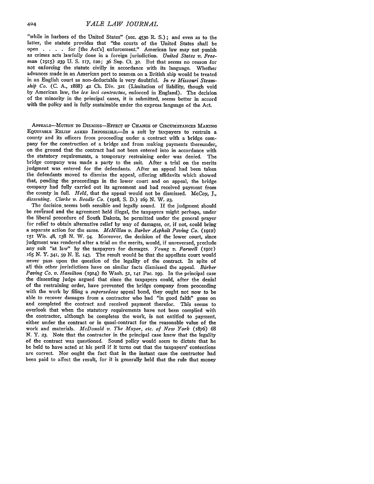"while in harbors of the United States" (sec. 453o R. S.); and even as to the latter, the statute provides that "the courts of the United States shall be open . **. .** . for [the Act's] enforcement." American law may not punish as crimes acts lawfully done in a foreign jurisdiction. *United States v. Freeman* (1915) **239 U. S.** 117, 12o; **36** Sup. Ct. **32.** But that seems no reason for not enforcing the statute civilly in accordance with its language. Whether advances made in an American port to seamen on a British ship would be treated in an English court as non-deductable is very doubtful. *In re Missouri Steamship Co.* **(C. A.,** 1888) 42 **Ch.** Div. **321** (Limitation of liability, though void **by** American law, the *lex loci contractus,* enforced in England). The decision of the minority in the principal cases, it is submitted, seems better in accord with the policy and is fully sustainable under the express language of the Act

**APPEALS-MOTION TO DISmISS-EFFECT OF** CHANGE **OF CIRCUMSTANCES MAKING EQUITABLE RELIEF ASKED** ImPoSsiBLE.-In a suit by taxpayers to restrain a county and its officers from proceeding under a contract with a bridge com- pany for the construction of a bridge and from making payments thereunder, on the ground that the contract had not been entered into in accordance with the statutory requirements, a temporary restraining order was denied. The bridge company was made a party to the suit. After a trial on the merits judgment was entered for the defendants. After an appeal had been taken the defendants moved to dismiss the appeal, offering affidavits which showed that, pending the proceedings in the lower court and on appeal, the bridge company had fully carried out its agreement and **had** received payment from the county in full. *Held,* that the appeal would not be dismissed. McCoy, **J.,** *dissenting. Clarke v. Beadle Co.* (1918, **S. D.)** *169* **N.** W. **23.**

The decision seems both sensible and legally sound. If the judgment should be reversed and the agreement held illegal, the taxpayers might perhaps, under the liberal procedure of South Dakota, be permitted under the general prayer for relief to obtain alternative relief **by** way of damages, or, if not, could bring a separate action for the same. *McMillan v. Barber Asphalt Paving Co.* (1912) **<sup>151</sup>**Wis. 48, 138 **N.** W. 94. Moreover, the decision of the lower court, since judgment was rendered after a trial on the merits, would, if unreversed, preclude any suit "at law" **by** the taxpayers for damages. *Young v. Farwell* (19oi) <sup>165</sup>**N. Y.** 341, **59 N. E. 143.** The result would be that the appellate court would never pass upon the question of the legality of the contract. In spite of all this other jurisdictions have on similar facts dismissed the appeal. *Barber Paving Co. v. Hamilton* (1914) 8o Wash. 51, 141 Pac. *199.* In the principal case the dissenting judge argued that since the taxpayers could, after the denial of the restraining order, have prevented the bridge company from proceeding with the work **by** filing a *supersedeas* appeal bond, they ought not now to be able to recover damages from a contractor who had "in good faith" gone on and completed the contract and received payment therefor. This seems to overlook that when the statutory requirements have not been complied with the contractor, although he completes the work, is not entitled to payment, either under the contract or in quasi-contract for the reasonable value of the work and materials. *McDonald v. The Mayor, etc. of Nrew York* (1876) 68 N. Y. **23.** Note that the contractor in the principal case knew that the legality of the contract was questioned. Sound policy would seem to dictate that he be held to have acted at his peril if it turns out that the taxpayers' contentions are correct. Nor ought the fact that in the instant case the contractor had been paid to affect the result, for it is generally held that the rule that money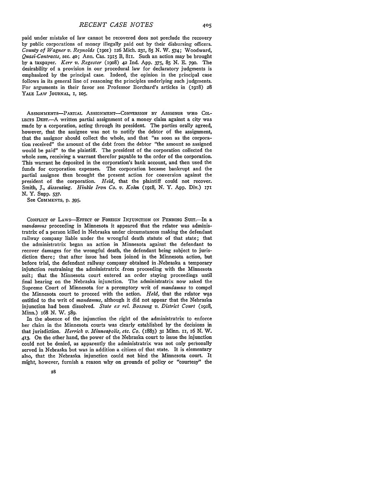## *RECENT CASE NOTES*

paid under mistake of law cannot be recovered does not preclude the recovery by public corporations of money illegally paid out by their disbursing officers. *County of Wagner v. Reynolds* (igoI) **126** Mich. 231, **85** N. W. 574; Woodward, *Quasi-Contracts,* sec. 4o; Ann. Cas. i915 B, 811. Such an action may be brought by a taxpayer. *Kerr v. Regester* (i9O8) 42 Ind. **App.** 375, 85 N. **E. 790.** The desirability of a provision in our procedural law for declaratory judgments is emphasized by the principal case. Indeed, the opinion in the principal case follows in its general line of reasoning the principles underlying such judgments. For arguments in their favor see Professor Borchard's articles in (1918) 28 YALE LAW JOURNAL, **I, 105.**

ASSIGNMENTS-PARTIAL ASSIGNMENT-CoNvERSION **BY** ASSIGNOR **WHO COL-**LEcTS DEBT.-A written partial assignment of a money claim against a city was made by a corporation, acting through its president. The parties orally agreed, however, that the assignee was not to notify the debtor of the assignment, that the assignor should collect the whole, and that "as soon as the corporation received" the amount of the debt from the debtor "the amount so assigned would be paid" to the plaintiff. The president of the corporation collected the whole sum, receiving a warrant therefor payable to the order of the corporation. This warrant he deposited in the corporation's bank account, and then used the funds for corporation expenses. The corporation became bankrupt and the partial assignee then brought the present action for conversion against the president of the corporation. *Held,* that the plaintiff could not recover. Smith, *J., dissenting. Hinkle Iron Co. v. Kohn* (i918, **N.** Y. App. Div.) **<sup>171</sup>** N. Y. Supp. 537.

See **COMMENTS,** p. 395.

**CONFLICT OF LAWS-EFFECT** OF FOREIGN **INJUNCTION ON PENDING** SUIT.-In a *mandamus* proceeding in Minnesota it appeared that the relator was administratrix of a person killed in Nebraska under circumstances making the defendant railway company liable under the wrongful death statute of that state; that the administratrix began an action in Minnesota against the defendant to recover damages for the wrongful death, the defendant being subject to jurisdiction there; that after issue had been joined in the Minnesota action, but before trial, the defendant railway company obtained in .Nebraska a temporary injunction restraining the administratrix .from proceeding with the Minnesota suit; that the Minnesota court entered an order staying proceedings until final hearing on the Nebraska injunction. The administratrix now asked the Supreme Court of Minnesota for a peremptory writ of *mandanns* to compel the Minnesota court to proceed with the action. *Held,* that the relator was entitled to the writ of *mandamus,* although it did not appear that the Nebraska injunction had been dissolved. *State ex rel. Bossung v. District Court* (I918, Minn.) i68 N. W. 589.

In the absence of the injunction the right of the administratrix to enforce her claim in the Minnesota courts was clearly established by the decisions in that jurisdiction. *Herrick v. Minneapolis, etc. Co.* (1883) **31** Minn. **1i,** 16 N. W. 413. On the other hand, the power of the Nebraska court to issue the injunction could not be denied, as apparently the administratrix was not only personally served in Nebraska but was in addition a citizen of that state. It is elementary also, that the Nebraska injunction could not bind the Minnesota court. It might, however, furnish a reason why on grounds of policy or "courtesy" the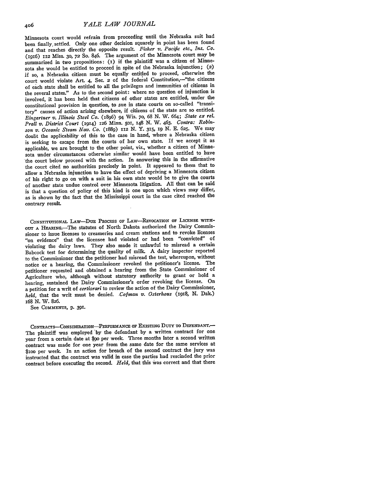Minnesota court would refrain from proceeding until the Nebraska suit had been finally, settled. Only one other decision squarely in point has been found and that reaches directly the opposite result. *Fisher v. Pacific etc., Ins. Co.* (1916) **i2** Miss. **3o, 72** So. 846. The argument of the Minnesota court may be summarized in two propositions: **(i)** if the plaintiff was a citizen of Minnesota she would be entitled to proceed in spite of the Nebraska injunction; **(2)** if so, a Nebraska citizen must be equally entitled to proceed, otherwise the court would violate Art. 4, Sec. 2 of the federal Constitution,-"the citizens **of** each state shall be entitled to all the privileges and immunities of citizens in the several states." As to the second point: where no question of injunction is involved, it has been held that citizens of other states are entitled, under the constitutional provision in question, to sue in state courts on so-called "transitory" causes of action arising elsewhere, if citizens of the state are so entitled. *Eingartner v. Illinois Steel Co.* (I896) **94** Wis. **70, 68 N.** W. 664; *State ex rel. Prall v. District Court* **(1914) 126** Minn. **501, 148 N.** W. 463. *Contra: Robinson v. Oceanic Steam Nay. Co.* **(x889) 12 N. Y. 315, ig** N. **E. 625.** We may doubt the applicability of this to the case in hand, where a Nebraska citizen is seeking to escape from the courts of her own state. If we accept it as applicable, we are brought to the other point, viz., whether a citizen of Minnesota under circumstances otherwise similar would have been entitled to have 'the court below proceed with the action. In answering this in the affirmative the court cited no authorities precisely in point. It appeared to them that to allow a Nebraska injunction to have the effect of depriving a Minnesota citizen of his right to go on with a suit in his own state would be to give the courts of another state undue control over Minnesota litigation. **All** that can be said is that a question of policy of this kind is one upon which views may differ, as is shown **by** the fact that the Mississippi court in the case cited reached the contrary result.

CONSTITUTIONAL LAw-DuE PaocEss **OF** LAw-REvOCATION **OF LICENsE wiTE-**OUT A HEARING.-The statutes of North Dakota authorized the Dairy Commissioner to issue licenses to creameries and cream stations and to revoke licenses "on evidence" that the licensee had violated or had been "convicted" of violating the dairy laws. They also made it unlawful to misread a certain Babcock test for determining the quality of milk. **A** dairy inspector reported to the Commissioner that the petitioner had misread the test, whereupon, without notice or a hearing, the Commissioner revoked the petitioner's license. The petitioner requested and obtained a hearing from the State Commissioner of Agriculture who, although without statutory authority to grant or hold a hearing, sustained the Dairy Commissioner's order revoking the license. On a petition for a writ of *certiorari* to review the action of the Dairy Commissioner, *held,* that the writ must be denied. *Cofiman v. Osterhous* (1918, **N.** Dak.) **168 N.** W. **826.**

See **COMMENTS,** p. **391.**

**CONTRACTS-CONSIDERATION-PERFORMANCE OF EXISTING DUTY TO DEFENDANT.-** The plaintiff was employed by the defendant by a written contract for one year from a certain date at **\$9o** per week. Three months later a second written contract was made for one year from the same date for the same services at \$ioo per week In an action for breach of the second contract the jury was instructed that the contract was valid in case the parties had rescinded the prior contract before executing the second. *Held,* that this was correct and that there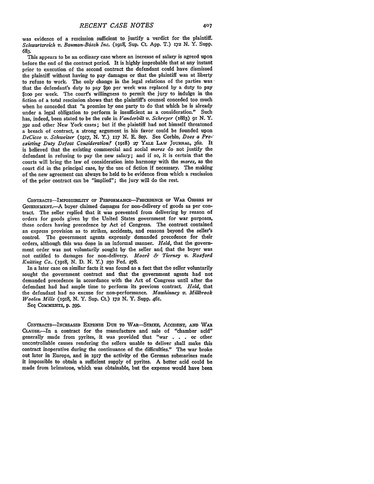was evidence of a rescission sufficient to justify a verdict for the plaintiff. *Schwartzreich v. Bauman-Bdsch Inc.* **(i918,** Sup. Ct. **App.** T.) **172 N.** Y. Supp. 683.

This appears to be an ordinary case where an increase **of** salary is agreed upon before the end of the contract period. It is highly improbable that at any instant prior to execution of the second contract the defendant could have dismissed the plaintiff without having to pay damages or that the plaintiff was at liberty to refuse to work. The only change in the legal relations of the parties was that the defendant's duty to pay \$go per week was replaced by a duty to pay \$ioo per week. The court's willingness to permit the jury to indulge in the fiction of a total rescission shows that the plaintiff's counsel conceded too much when he conceded that "a promise by one party to do that which he is already under a legal obligation to perform is insufficient as a consideration"' Such has, indeed, been stated to be the rule in *Vanderbilt v. Schreyer* (1883) **9i** *N.* Y. **392** and other New York cases; but if the plaintiff had not himself threatened a breach of contract, a strong argument in his favor could be founded upon *DeCicco v. Schweizer (i917,* **N.** Y.). 117 N. E. 807. See Corbin, *Does a Pre-" existing Duty Defeat Consideration?* (1918) **27** YALE LAW **JouRNAL, 362.** It is believed that the existing commercial and social *mores* do not justify the defendant in refusing to pay the new salary; and if so, it is certain that the courts will bring the law of consideration into harmony with the *mores,* as the court did in the principal case, by the use of fiction if necessary. The making of the new agreement can always be held to be evidence from which a rescission of the prior contract can be "implied"; the jury will do the rest.

CONTRACTS-IMPSSIBILITY **OF** PERFORMANCE-PRECmENCE **OF WAR** ORDERS **BY** GOVERNMENT A buyer claimed damages for non-delivery of goods as per contract. The seller replied that it was prevented from delivering **by** reason of orders for goods given **by** the United States government for war purposes, these orders having precedence **by** Act **of** Congress. The contract contained an express provision as to strikes, accidents, and reasons beyond the seller's control. The government agents expressly demanded precedence for their orders, although this was done in an informal manner. *Held,* that the government order was not voluntarily sought **by** the seller an4 that the buyer was not entitled to damages for non-delivery. Moore & Tierney v. Roxford *Knitting Co..* (198, N. D. N. Y.) **250** Fed. **278.**

In a later case on similar facts it was found as a fact that the seller voluntarily sought the government contract and that the government agents had not demanded precedence in accordance with the Act of Congress until after the defendant had had ample time to perform its previous contract. *Held,* that the defendant had no excuse for non-performance. *Mawhinney v. Millbrook Woolen Mills (igiS,* **N.** Y. Sup. Ct.) *172* N. Y. Supp. 461.

See **CoMMENTs,** p. 399.

**CoxTRAcT s-INcREAsED** ExPENsE **DUE To** WAn--STulc, AccIDEr, **AND** WAR CLAUSE.-In a contract for the manufacture and sale of "chamber acid" generally made from pyrites, it was provided that "war **. . .** or other uncontrollable causes rendering the sellers unable to deliver shall make this contract inoperative during the continuance of the difficulties." The war broke out later in Europe, and in **1917** the activity of the German submarines made it impossible to obtain a sufficient supply of pyrites. A better acid could be made from brimstone, which was obtainable, but the expense would have been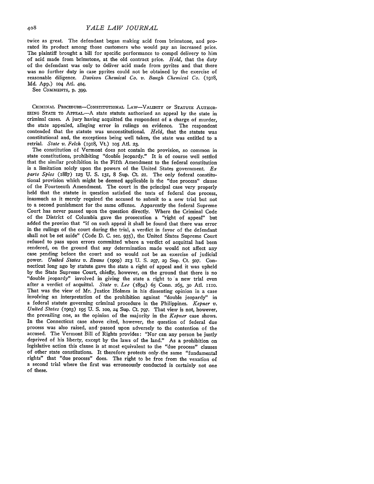twice as great. The defendant began making acid from brimstone, and prorated its product among those customers who would pay an increased price. The plaintiff brought a bill for specific performance to compel delivery to him of acid made from brimstone, at the old contract price. *Held,* that the duty of the defendant was only to deliver acid made from pyrites and that there was no further duty in case pyrites could not be obtained **by** the exercise of reasonable diligence. *Davison Chemical Co. v. Baugh Chemical Co.* **(1918,** Md. App.) **104** Atl. 4o4.

See **COMMENTS,** p. **399.**

CRIMINAL PROCEDURE-CONSTITUTIONAL LAW-VALIDITY **OF** STATUTE AUTHOR-**IZING** STATE **TO APPEAL.-A** state statute authorized an appeal by the state in criminal cases. **A** jury having acquitted the respondent of a charge of murder, the state appealed, alleging error in rulings on evidence. The respondent contended that the statute was unconstitutional. *Held,* that the statute was constitutional and, the exceptions being well taken, the state was entitled to a retrial. *State v. Felch* (I918, Vt.) **105** Atl. **23.**

The constitution of Vermont does not contain the provision, so common in state constitutions, prohibiting "double jeopardy." It is of course well settled that the similar prohibition in the Fifth Amendment to the federal constitution is a limitation solely upon the powers of the United States government. *E parte Spies* (1887) 123 U. S. 131, 8 Sup. Ct. *21.* The only federal constitutional provision which might be deemed applicable is the "due process" clause of the Fourteenth Amendment. The court in the principal case very properly held that the statute in question satisfied the tests of federal due process, inasmuch as it merely required the accused to submit to a new trial but not to a second punishment for the same offense. Apparently the federal Supreme Court has never passed upon the question directly. Where the Criminal Code of the District of Columbia gave the prosecution a "right of appeal" but added the proviso that "if on such appeal it shall be found that there was error in the rulings of the court during the trial, a verdict in favor of the defendant shall not be set aside" (Code D. C. sec. 935), the United States Supreme Court refused to pass upon errors committed where a verdict of acquittal had been rendered, on the ground that any determination made would not affect any case pending before the court and so would not be an exercise of judicial power. *United States v. Evans (1909)* **213 U.** *S. 297, 29* **Sup. Ct. 507.** Connecticut long ago by statute gave the state a right of appeal and it was upheld by the State Supreme Court, chiefly, however, on the ground that there is no "double jeopardy" involved in giving the state a right to a new trial even after a verdict of acquittal. State v. Lee (1894) 65 Conn. 265, 30 Atl. 1110. That was the view of Mr. Justice Holmes in his dissenting opinion in a case involving an interpretation of the prohibition against "double jeopardy" in a federal statute governing criminal procedure in the Philippines. *Kepner v. United States* (i9o3) 195 U. **S. 100,** *24* Sup. Ct. 797. That view is not, however, the prevailing one, as the opinion of the majority in the *Kepner* case shows. In the Connecticut case above cited, however, the question of federal due process was also raised, and-passed upon adversely to the contention of the accused. The Vermont Bill of Rights provides: "Nor can any person be justly deprived of his liberty, except by the laws of the land." As a prohibition on legislative action this clause is at most equivalent to the "due process" clauses of other state constitutions. It therefore protects only-the same "fundamental rights" that "due process" does. The right to be free from the vexation of a second trial where the first was erroneously conducted is certainly not one of these.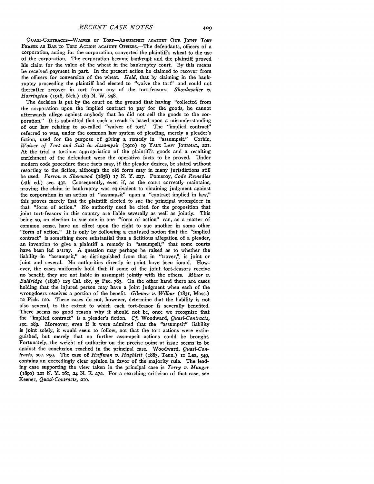QUASI-CONTRACTS-WAIVER OF TORT-ASSUMPSIT AGAINST ONE **JOINT** TORT FEASOR AS BAR TO TORT ACTION AGAINST OTHERS. The defendants, officers of a corporation, acting for the corporation, converted the plaintiff's wheat to the use of the corporation. The corporation became bankrupt and the plaintiff proved his claim for the value of the wheat in the bankruptcy court. By this means he received payment in part. In the present action he claimed to recover from the officers for conversion of the wheat. *Held,* that by claiming in the bankruptcy proceeding the plaintiff had elected to "waive the tort" and could not thereafter recover in tort from any of the tort-feasors. *Shonkweiler v. Harrington* (1918, Neb.) 169 N. W. 258.

The decision is put by the court on the ground that having "collected from the corporation upon the implied contract to pay for the goods, he cannot afterwards allege against anybody that he did not sell the goods to the corporation." It is submitted that such a result is based upon a misunderstanding of our law relating to so-called "waiver of tort." The "implied contract" referred to was, under the common law system of pleading, merely a pleader's fiction, used for the purpose of giving a remedy in "assumpsit." Corbin, *Waiver of Tort and Suit in Assumpsit* (1gio) **19** YALE LAW **JOURNAL, 221.** At the trial a tortious appropriation of the plaintiff's goods and a resulting enrichment of the defendant were the operative facts to be proved. Under modern code procedure these facts may, if the pleader desires, be stated without resorting to the fiction, although the old form may in many jurisdictions still be used. *Farron v. Sherwood* (1858) **17** N. Y. **227.** Pomeroy, *Code Remedies* (4th ed.) sec. 431. Consequently, even if, as the court correctly maintains, proving the claim in bankruptcy was equivalent to obtaining judgment against the corporation in an action of "assumpsit" upon a "contract implied in law," this proves merely that the plaintiff elected to sue the principal wrongdoer in that "form of action." No authority need be cited for the proposition that joint tort-feasors in this country are liable severally as well as jointly. This being so, an election to sue one in one "form of action" can, as a matter of common sense, have no effect upon the right to sue another in some other "form of action." It is only by following a confused notion that the "implied contract" is something more substantial than a fictitious allegation of a pleader, an invention to give a plaintiff a remedy in "assumpsit," that some courts have been led astray. A question may perhaps be raised as to whether the liability in "assumpsit," as distinguished from that in "trover," is joint or joint and several. No authorities directly in point have been found. However, the cases uniformly hold that if some of the joint tort-feasors receive no benefit, they are not liable in assumpsit jointly with the others. *Minor v. Baldridge* **(z898)** 123 Cal. 187, 55 Pac. 783. On the other hand there are cases holding that the injured person may have a joint judgment when each of the wrongdoers receives a portion of the benefit. *Gilmore v. Wilbur* (1831, Mass.) 12 Pick. 12o. These cases do not, however, determine that the liability is not also several, to the extent to which each tort-feasor is severally benefited. There seems no good reason why it should not be, once we recognize that the "implied contract" is a pleader's fiction. *Cf.* Woodward, *Quasi-Contracts,* sec. 289. Moreover, even if it were admitted that the "assumpsit" liability is joint solely, it would seem to follow, not that the tort actions were extinguished, but merely that no further assumpsit actions could be brought. Fortunately, the weight of authority on the precise point at issue seems to be against the conclusion reached in the principal case. Woodward, *Quasi-Contracts,* sec. 299. The case of *Huffman v. Hughlett* (1883, Tenn.) **Ii** Lea, 549, contains an exceedingly clear opinion in favor of the majority rule. The leading case supporting the view taken in the principal case is *Terry v. Munger* (18go) **121** N. Y. **161,** 24 N. E. **272.** For a searching criticism of that case, see Keener, *Quasi-Contracts, 210.*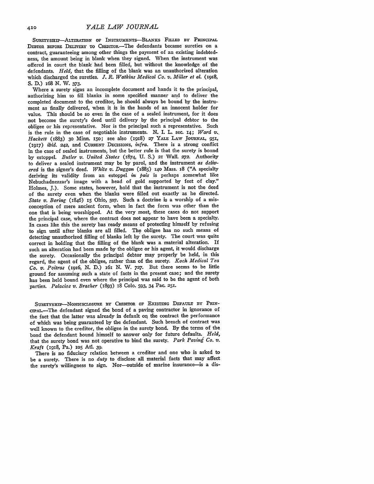SURETYSHIP-ALTERATION OF INSTRUMENTS-BLANKS FILLED BY PRINCIPAL DEBTOR BEFORE DELIVERY TO CREDITOR.-The defendants became sureties on a contract, guaranteeing among other things the payment of an existing indebtedness, the amount being in blank when they signed. When the instrument was offered in court the blank had been filled, but without the knowledge of the defendants. *Held,* that the filling of the blank was an unauthorized alteration which discharged the sureties. *J. R. Watkins Medical Co. v. Miller et al.* (1918, **S. D.)** 168 **N.** W. **373.**

Where a surety signs an incomplete document and hands it to the principal, authorizing him to fill blanks in some specified manner and to deliver the completed document to the creditor, he should always be bound by the instrument as finally delivered, when it is in the hands of an innocent holder for value. This should be so even in the case of a sealed instrument, for it does not become the surety's deed until delivery by the principal debtor to the obligee or his representative. Nor is the principal such a representative. Such is the rule in the case of negotiable instruments. **N.** I. L. sec. 14; *Ward v. Hackett* (883) 30 Minn. **I5O;** see also (1918) **27** YALE LAw **JOuRNAL,** 95', (97) *ibid.* 242, and CURRENT DECISIONs, *infra.* There is a strong conflict in the case of sealed instruments, but the better rule is that the surety is bound by estoppel. *Butler v. United States* (1874, U. S.) **21** Wall. **272.** Authority to deliver a sealed instrument may be by parol, and the instrument *as delivered* is the signer's deed. *White v. Duggan* (i885) 140 Mass. **x8** ("A specialty deriving its validity from an estoppel *in pais* is perhaps somewhat like Nebuchadnezzar's image with a head of gold supported by feet of clay." Holmes, J.). Some states, however, hold that the instrument is not the deed of the surety even when the blanks were filled out exactly as he directed. *State v. Boring* (1846) 15 Ohio, 5o7. Such a doctrine is a worship of a misconception of mere ancient form, when in fact the form was other than the one that is being worshipped. At the very most, these cases do not support the principal case, where the contract does not appear to have been a specialty. In cases like this the surety has ready means of protecting himself by refusing to sign until after blanks are all filled. The obligee has no such means of detecting unauthorized filling of blanks left by the surety. The court was quite correct in holding that the filling of the blank was a material alteration. If such an alteration had been made by the obligee or his agent, it would discharge the surety. Occasionally the principal debtor may properly be held, in this regard, the agent of the obligee, rather than of the surety. *Koch Medical Tea Co. v. Poitras (i916,* N. D.) **I6I** N. W. 727. But there seems to be little ground for assuming such a state of facts in the present case; and the surety has been held bound even where the principal was said to be the agent of both parties. *Palacios v. Brasher* (1893) i8 **Colo.** 593, 34 Pac. *251.*

SURETYSHIP-NONDISCLOSURE BY CREDITOR OF EXISTING DEFAULT BY PRIN**ciPAL.--The** defendant signed the bond of a paving contractor in ignorance of the fact that the latter was already in default on the contract the performance of which was being guaranteed by the defendant. Such breach of contract was well known to the creditor, the obligee in the surety bond. By the terms of the bond the defendant bound himself to answer only for future defaults. *Held,* that the surety bond was not operative to bind the surety. *Park Paving Co. v. Kraft* (I918, Pa.) io5 Atl. **39.**

There is no fiduciary relation between a creditor and one who is asked to be a surety. There is no *duty* to disclose all material facts that may affect the surety's willingness to sign. Nor-outside of marine insurance-is a dis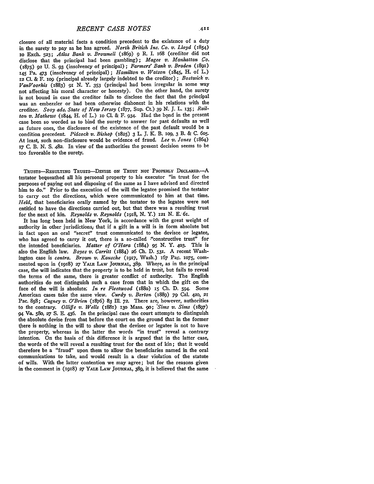closure of all material facts a condition precedent to the existence of a duty in the surety to pay as he has agreed. *North British Ins. Co. v. Lloyd* (1854) io Exch. **523;** *Atlas Bank v. Brownell* (i869) **9 R. 1. I68** (creditor did not disclose that the principal had been gambling); *Magee v. Manhattan* Co. (1875) **92 U. S. 93** (insolvency of principal); *Farmers' Bank v. Braden (1891)* **<sup>145</sup>**Pa. 473 (insolvency of principal); *Hamilton v. Watson* (1845, H. of L.) 12 Cl. & F. 109 (principal already largely indebted to the creditor) ; *Bostwick v*. *VanVoorhis* (1883) **9i N. Y. 353** (principal had been irregular in some way not affecting his moral character or honesty). On the other hand, the surety is not bound in case the creditor fails to disclose the fact that the principal was an embezzler or had been otherwise dishonest in his relations with the creditor. *Sooy ads. State of New Jersey* (1877, Sup. Ct.) **39 N. J.** L. **135;** *Railton v. Mathews* (1844, H. of L.) io **Cl. &** F. 934. Had the bond in the present case been so worded as to bind the surety to answer for past defaults as well as future ones, the disclosure of the existence of the past default would be a condition precedent. *Pidcock v. Bishop* **(1825) 3** L. **J.** K. B. **1og, 3** B. **& C.** 6o5. At least, such non-disclosure would be evidence of fraud. *Lee v. Jones* (1864) 17 **C.** B. **N. S.** 482. In view of the authorities the present decision seems to be too favorable to the surety.

TRUSTS-RESULTING TRUSTS-DEVISE ON TRUST NOT PROPERLY DECLARED.<sup>--</sup>A testator bequeathed all his personal property to his executor "in trust for the purposes of paying out **and** disposing of the same as I have advised and directed him to do." Prior to the execution of the will the legatee promised the testator to carry out the directions, which were communicated to him at that time. *Held,* that beneficiaries orally named **by** the testator to the legatee were not entitled to have the directions carried out, but that there was a resulting trust for the next of kin. *Reynolds v. Reynolds* (i918, **N.** Y.) **121 N. E. 6r.**

It has long been held in New York, in accordance with the great weight of authority in other jurisdictions; that if a gift in a will is in form absolute but in fact upon an oral "secret" trust communicated to the devisee or legatee, who has agreed to carry it out, there is a so-called "constructive trust" for the intended beneficiaries. *Matter of O'Hara* (1884) **95 N.** Y. 403. This is also the English law. *Boyes v. Carritt* (1884) 26 **Ch.** D. **53r.** A recent Washington case is *contra. Brown v. Kausche* (r917, Wash.) 167 Pae. **1075,** commented upon in (1918) 27 YALE LAW JOURNAL, 389. Where, as in the principal case, the will indicates that the property is to be held in trust, but fails to reveal the terms of the same, there is greater conflict of authority. The English authorities do not distinguish such a case from that in which the gift on the face of the will is absolute: *In re Fleetwood* (i88o) 15 **Ch.** D. 594. Some American cases take the same view. *Curdy v. Berton* (i889) 79 Cal. **420, 21** Pac. 858; *Cagney v. O'Brien* (1876) 83 Il. **72.** There are, however, authorities to the contrary. *Olliffe* v. *Wells* (i88I) **13o** Mass. go; *'Sims v. Sims (1897)* 94 Va. 58o, **27 S.** E. 436. In the principal case the court attempts to distinguish the absolute devise from that before the court on the ground that in the former there is nothing in the will to show that the devisee or legatee is not to have the property, whereas in the latter the words "in trust" reveal a contrary intention. On the basis of this difference it is argued that in the latter case, the words of the will reveal a resulting trust for the next of kin; that it would therefore be a "fraud" upon them to allow the beneficiaries named in the oral communications to take, and would result in a clear violation of the statute of wills. With the latter contention we may agree; but for the reasons given in the comment in (ipi8) 27 YALE LAW JoURNAL, 389, it is believed that the same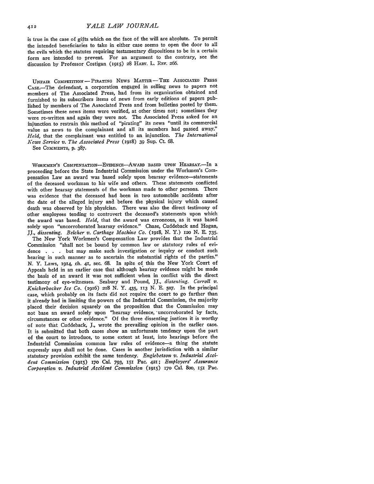is true in the case of gifts which on the face of the will are absolute. To permit the intended beneficiaries to take in either case seems to open the door to all the evils which the statutes requiring testamentary dispositions to be in a certain form are intended to prevent. For an argument to the contrary, see the discussion by Professor Costigan **(1915)** 28 HARv. L. **REV.** 266.

**UNFAIR COMPETITION -PIRATING NEWS MATTER-THE ASSOCIATED** PRESS CAsE.-The defendant, a corporation engaged in selling news to papers not members of The Associated Press, had from its organization obtained and furnished to its subscribers items of news from early editions of papers published **by** members of The Associated Press and from bulletins posted **by** them. Sometimes these news items were verified, at other times not; sometimes they were re-written and again they were not. The Associated Press asked for an injunction to restrain this method of "pirating" its news "until its commercial value as news to the complainant and all its members had passed away." *Held,* that the complainant was entitled to an injunction. *The International News Service v. The Associated Press* (1918) 39 Sup. Ct. **68.**

See **COMMENTS,** p. 387.

WORKMEN'S COMPENSATION-EVIDENCE-AWARD BASED UPON HEARSAY.<sup>-- In</sup> a proceeding before the State Industrial Commission under the Workmen's Compensation Law an award was based solely upon hearsay evidence-statements of the deceased workman to his wife and others. These statements conflicted with other hearsay statements of the workman made to other persons. There was evidence that the deceased had been in two automobile accidents after the date of the alleged injury and before the physical injury which caused death was observed by his physician. There was also the direct testimony of other employees tending to controvert the deceased's statements upon which the award was based. *Held,* that the award was erroneous, as it was based solely upon "uncorroborated hearsay evidence." Chase, Cuddeback and Hogan, *JJ., dissenting. Belcher v. Carthage Machine Co.* (1918, **N.** Y.) **120 N. E.** 735. The New York Workmen's Compensation Law provides that the Industrial Commission "shall not be bound by common law or statutory rules of evidence **. . .** but may make such investigation or inquiry or conduct such hearing in such manner as to ascertain the substantial rights of the parties." N. Y. Laws, 1914, ch. 41, sec. **68.** In spite of this the New York Court of Appeals held in an earlier case that although hearsay evidence might be made the basis of an award it was not sufficient when in conflict with the direct testimony of eye-witnesses. Seabury and Pound, *J., dissenting. Carroll v. Knickerbocker Ice Co.* (1916) 218 N. Y. 435, **113** N. E. 507. In the principal case, which probably on its facts did not require the court to go farther than it already had in limiting the powers of the Industrial Commission, the majority placed their decision squarely on the proposition that the Commission may not base an award solely upon "hearsay evidence, "uncorroborated by facts, circumstances or other evidence." **Of** the three dissenting justices it is worthy of note that Cuddeback, J., wrote the prevailing opinion in the earlier case. It is submitted that both cases show an unfortunate tendency upon the part of the court to introduce, to some extent at least, into hearings before the Industrial Commission common law rules of evidence-a thing the statute expressly says shall not be done. Cases in another jurisdiction with a similar statutory provision exhibit the same tendency. *Englebetson v. Industrial Accident Commission* (1915) **17o** Cal. *793,* 151 Pac. 421; *Employers' Assurance Corporation v. Industrial Accident Commission* **(1915) 170** Cal. 8oo, **151** Pac.